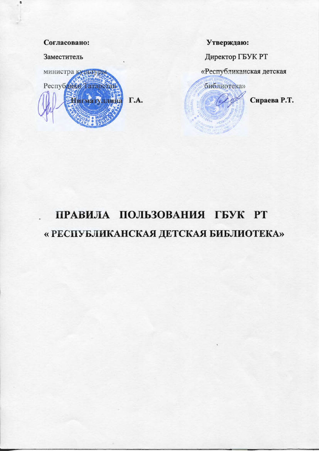#### Согласовано:

Заместитель



Утверждаю:

Директор ГБУК РТ

«Республиканская детская

библиотека»

Сираева Р.Т.

# ПРАВИЛА ПОЛЬЗОВАНИЯ ГБУК РТ « РЕСПУБЛИКАНСКАЯ ДЕТСКАЯ БИБЛИОТЕКА»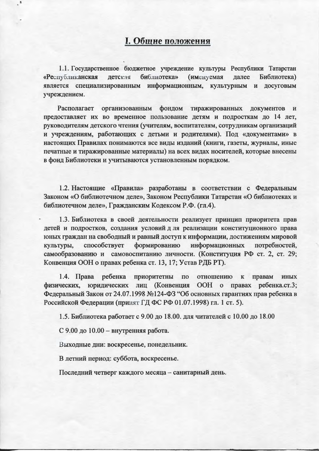## I. Общие положения

1.1. Государственное бюджетное учреждение культуры Республики Татарстан далее «Республиканская библиотека» (именуемая Библиотека) детская является специализированным информационным, культурным и досуговым учреждением.

Располагает организованным фондом тиражированных документов И предоставляет их во временное пользование детям и подросткам до 14 лет, руководителям детского чтения (учителям, воспитателям, сотрудникам организаций и учреждениям, работающих с детьми и родителями). Под «документами» в настоящих Правилах понимаются все виды изданий (книги, газеты, журналы, иные печатные и тиражированные материалы) на всех видах носителей, которые внесены в фонд Библиотеки и учитываются установленным порядком.

1.2. Настоящие «Правила» разработаны в соответствии с Федеральным Законом «О библиотечном деле», Законом Республики Татарстан «О библиотеках и библиотечном деле», Гражданским Кодексом Р.Ф. (гл.4).

1.3. Библиотека в своей деятельности реализует принцип приоритета прав детей и подростков, создания условий д ля реализации конституционного права юных граждан на свободный и равный доступ к информации, достижениям мировой способствует формированию информационных культуры, потребностей, самообразованию и самовоспитанию личности. (Конституция РФ ст. 2, ст. 29; Конвенция ООН о правах ребенка ст. 13, 17; Устав РДБ РТ).

 $1.4.$  Права ребенка приоритетны по отношению правам иных  $\mathbf K$ физических, юридических лиц (Конвенция ООН о правах ребенка.ст.3; Федеральный Закон от 24.07.1998 №124-ФЗ "Об основных гарантиях прав ребенка в Российской Федерации (принят ГД ФС РФ 01.07.1998) гл. 1 ст. 5).

1.5. Библиотека работает с 9.00 до 18.00. для читателей с 10.00 до 18.00

С 9.00 до 10.00 - внутренняя работа.

Выходные дни: воскресенье, понедельник.

В летний период: суббота, воскресенье.

Последний четверг каждого месяца - санитарный день.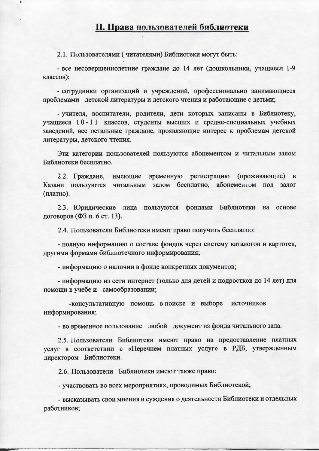### II. Права пользователей библиотеки

2.1. Пользователями (читателями) Библиотеки могут быть:

- все несовершеннолетние граждане до 14 лет (дошкольники, учащиеся 1-9 классов);

- сотрудники организаций и учреждений, профессионально занимающиеся проблемами детской литературы и детского чтения и работающие с детьми;

- учителя, воспитатели, родители, дети которых записаны в Библиотеку, учащиеся 10-11 классов, студенты высших и средне-специальных учебных заведений, все остальные граждане, проявляющие интерес к проблемам детской литературы, детского чтения.

Эти категории пользователей пользуются абонементом и читальным залом Библиотеки бесплатно.

2.2. Граждане, имеющие временную регистрацию (проживающие) в Казани пользуются читальным залом бесплатно, абонементом под залог (платно).

2.3. Юридические лица пользуются фондами Библиотеки на основе договоров (ФЗ п. 6 ст. 13).

2.4. Пользователи Библиотеки имеют право получить бесплатно:

- полную информацию о составе фондов через систему каталогов и картотек, другими формами библиотечного информирования;

- информацию о наличии в фонде конкретных документов;

- информацию из сети интернет (только для детей и подростков до 14 лет) для помощи в учебе и самообразовании;

-консультативную помощь в поиске и выборе источников информирования;

- во временное пользование любой документ из фонда читального зала.

2.5. Пользователи Библиотеки имеют право на предоставление платных услуг в соответствии с «Перечнем платных услуг» в РДБ, утвержденным директором Библиотеки.

2.6. Пользователи Библиотеки имеют также право:

- участвовать во всех мероприятиях, проводимых Библиотекой;

- высказывать свои мнения и суждения о деятельности Библиотеки и отдельных работников;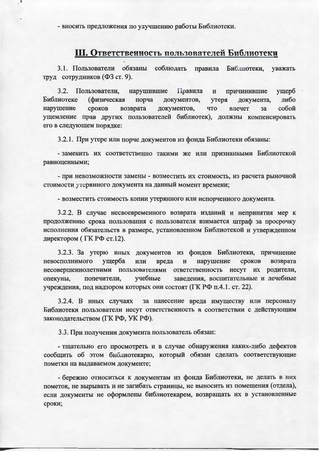- вносить предложения по улучшению работы Библиотеки.

# Ш. Ответственность пользователей Библиотеки

3.1. Пользователи обязаны соблюдать правила Библиотеки, уважать труд сотрудников (ФЗ ст. 9).

3.2. Пользователи, нарушившие Правила причинившие ущерб и Библиотеке либо (физическая порча документов, утеря документа, собой нарушение сроков возврата документов, что влечет  $3a$ ущемление прав других пользователей библиотек), должны компенсировать его в следующем порядке:

3.2.1. При утере или порче документов из фонда Библиотеки обязаны:

- заменить их соответственно такими же или признанными Библиотекой равноценными;

- при невозможности замены - возместить их стоимость, из расчета рыночной стоимости утерянного документа на данный момент времени;

- возместить стоимость копии утерянного или испорченного документа.

3.2.2. В случае несвоевременного возврата изданий и непринятия мер к продолжению срока пользования с пользователя взимается штраф за просрочку исполнения обязательств в размере, установленном Библиотекой и утвержденном директором (ГК РФ ст.12).

3.2.3. За утерю иных документов из фондов Библиотеки, причинение нарушение сроков возврата невосполнимого ущерба или вреда  $\mathbf{M}$ несовершеннолетними пользователями ответственность несут их родители, заведения, воспитательные и лечебные опекуны, попечители, учебные учреждения, под надзором которых они состоят (ГК РФ п.4.1. ст. 22).

3.2.4. В иных случаях за нанесение вреда имуществу или персоналу Библиотеки пользователи несут ответственность в соответствии с действующим законодательством (ГК РФ, УК РФ).

3.3. При получении документа пользователь обязан:

- тщательно его просмотреть и в случае обнаружения каких-либо дефектов сообщить об этом библиотекарю, который обязан сделать соответствующие пометки на выдаваемом документе;

- бережно относиться к документам из фонда Библиотеки, не делать в них пометок, не вырывать и не загибать страницы, не выносить из помещения (отдела), если документы не оформлены библиотекарем, возвращать их в установленные сроки;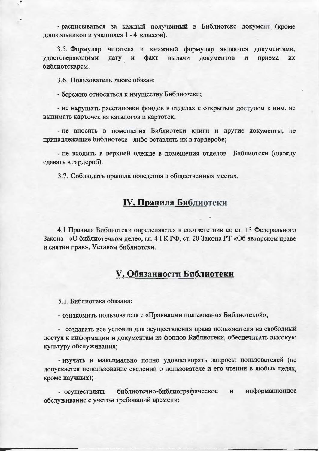- расписываться за каждый полученный в Библиотеке документ (кроме дошкольников и учащихся 1 - 4 классов).

3.5. Формуляр читателя и книжный формуляр являются документами, удостоверяющими дату и факт выдачи документов приема **HX**  $\mathbf{H}$ библиотекарем.

3.6. Пользователь также обязан:

- 3

- бережно относиться к имуществу Библиотеки;

- не нарушать расстановки фондов в отделах с открытым доступом к ним, не вынимать карточек из каталогов и картотек;

- не вносить в помещения Библиотеки книги и другие документы, не принадлежащие библиотеке либо оставлять их в гардеробе;

- не входить в верхней одежде в помещения отделов Библиотеки (одежду сдавать в гардероб).

3.7. Соблюдать правила поведения в общественных местах.

# **IV. Правила Библиотеки**

4.1 Правила Библиотеки определяются в соответствии со ст. 13 Федерального Закона «О библиотечном деле», гл. 4 ГК РФ, ст. 20 Закона РТ «Об авторском праве и снятии прав», Уставом библиотеки.

## **V. Обязанности Библиотеки**

5.1. Библиотека обязана:

- ознакомить пользователя с «Правилами пользования Библиотекой»;

- создавать все условия для осуществления права пользователя на свободный доступ к информации и документам из фондов Библиотеки, обеспечивать высокую культуру обслуживания;

- изучать и максимально полно удовлетворять запросы пользователей (не допускается использование сведений о пользователе и его чтении в любых целях, кроме научных);

библиотечно-библиографическое и информационное - осуществлять обслуживание с учетом требований времени;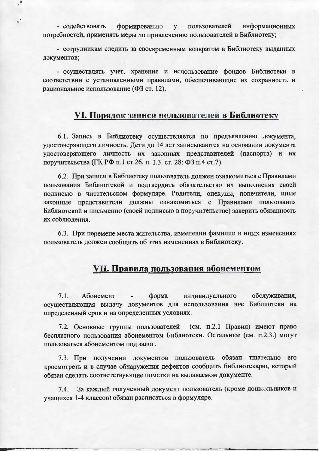формированию пользователей информационных - содействовать  ${\bf y}$ потребностей, применять меры по привлечению пользователей в Библиотеку;

- сотрудникам следить за своевременным возвратом в Библиотеку выданных документов;

- осуществлять учет, хранение и использование фондов Библиотеки в соответствии с установленными правилами, обеспечивающие их сохранность и рациональное использование (ФЗ ст. 12).

## VI. Порядок записи пользователей в Библиотеку

6.1. Запись в Библиотеку осуществляется по предъявлению документа, удостоверяющего личность. Дети до 14 лет записываются на основании документа удостоверяющего личность их законных представителей (паспорта) и их поручительства (ГК РФ п.1 ст.26, п. 1.3. ст. 28; ФЗ п.4 ст.7).

6.2. При записи в Библиотеку пользователь должен ознакомиться с Правилами пользования Библиотекой и подтвердить обязательство их выполнения своей подписью в читательском формуляре. Родители, опекуны, попечители, иные законные представители должны ознакомиться с Правилами пользования Библиотекой и письменно (своей подписью в поручительстве) заверить обязанность их соблюдения.

6.3. При перемене места жительства, изменении фамилии и иных изменениях пользователь должен сообщить об этих изменениях в Библиотеку.

# VII. Правила пользования абонементсм

обслуживания, форма индивидуального  $7.1.$ Абонемент осуществляющая выдачу документов для использования вне Библиотеки на определенный срок и на определенных условиях.

7.2. Основные группы пользователей (см. п.2.1 Правил) имеют право бесплатного пользования абонементом Библиотеки. Остальные (см. п.2.3.) могут пользоваться абонементом под залог.

7.3. При получении документов пользователь обязан тщательно его просмотреть и в случае обнаружения дефектов сообщить библиотекарю, который обязан сделать соответствующие пометки на выдаваемом документе.

За каждый полученный документ пользователь (кроме дошкольников и  $7.4.$ учащихся 1-4 классов) обязан расписаться в формуляре.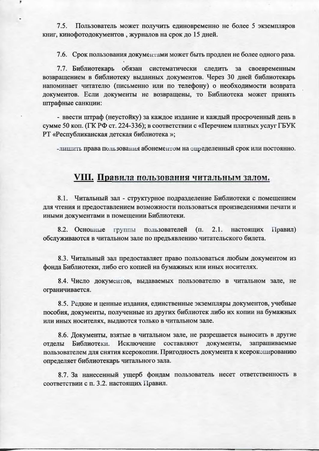$7.5.$ Пользователь может получить единовременно не более 5 экземпляров книг, кинофотодокументов, журналов на срок до 15 дней.

7.6. Срок пользования документами может быть продлен не более одного раза.

7.7. Библиотекарь обязан систематически следить за своевременным возвращением в библиотеку выданных документов. Через 30 дней библиотекарь напоминает читателю (письменно или по телефону) о необходимости возврата документов. Если документы не возвращены, то Библиотека может принять штрафные санкции:

- ввести штраф (неустойку) за каждое издание и каждый просроченный день в сумме 50 коп. (ГК РФ ст. 224-336); в соответствии с «Перечнем платных услуг ГБУК РТ «Республиканская детская библиотека»;

-лишить права пользования абонементом на определенный срок или постоянно.

## **VIII. Правила пользования читальным залом.**

8.1. Читальный зал - структурное подразделение Библиотеки с помещением для чтения и предоставлением возможности пользоваться произведениями печати и иными документами в помещении Библиотеки.

8.2. Основные группы пользователей  $(\Pi.$  $2.1.$ настоящих Правил) обслуживаются в читальном зале по предъявлению читательского билета.

8.3. Читальный зал предоставляет право пользоваться любым документом из фонда Библиотеки, либо его копией на бумажных или иных носителях.

8.4. Число документов, выдаваемых пользователю в читальном зале, не ограничивается.

8.5. Редкие и ценные издания, единственные экземпляры документов, учебные пособия, документы, полученные из других библиотек либо их копии на бумажных или иных носителях, выдаются только в читальном зале.

8.6. Документы, взятые в читальном зале, не разрешается выносить в другие отделы Библиотеки. Исключение составляют документы, запрашиваемые пользователем для снятия ксерокопии. Пригодность документа к ксерокопированию определяет библиотекарь читального зала.

8.7. За нанесенный ущерб фондам пользователь несет ответственность в соответствии с п. 3.2. настоящих Правил.